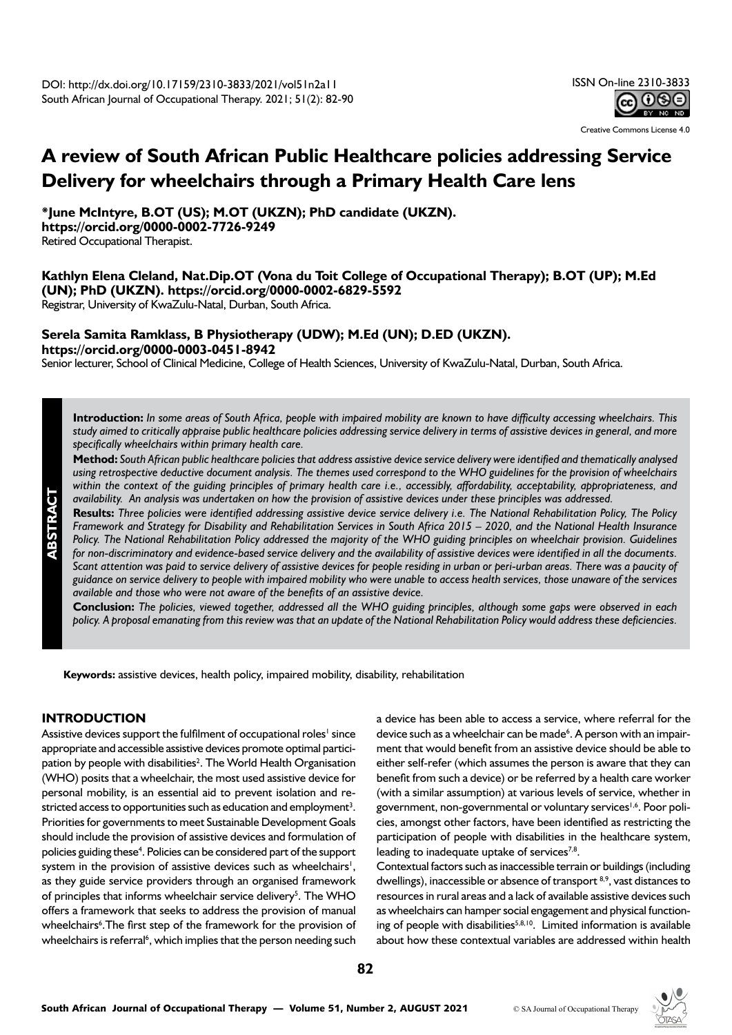

Creative Commons License 4.0

# **A review of South African Public Healthcare policies addressing Service Delivery for wheelchairs through a Primary Health Care lens**

**\*June McIntyre, B.OT (US); M.OT (UKZN); PhD candidate (UKZN). https://orcid.org/0000-0002-7726-9249**

Retired Occupational Therapist.

# **Kathlyn Elena Cleland, Nat.Dip.OT (Vona du Toit College of Occupational Therapy); B.OT (UP); M.Ed (UN); PhD (UKZN). https://orcid.org/0000-0002-6829-5592**

Registrar, University of KwaZulu-Natal, Durban, South Africa.

# **Serela Samita Ramklass, B Physiotherapy (UDW); M.Ed (UN); D.ED (UKZN). https://orcid.org/0000-0003-0451-8942**

Senior lecturer, School of Clinical Medicine, College of Health Sciences, University of KwaZulu-Natal, Durban, South Africa.

**Introduction:** *In some areas of South Africa, people with impaired mobility are known to have difficulty accessing wheelchairs. This study aimed to critically appraise public healthcare policies addressing service delivery in terms of assistive devices in general, and more specifically wheelchairs within primary health care.* 

**Method:** *South African public healthcare policies that address assistive device service delivery were identified and thematically analysed using retrospective deductive document analysis. The themes used correspond to the WHO guidelines for the provision of wheelchairs within the context of the guiding principles of primary health care i.e., accessibly, affordability, acceptability, appropriateness, and availability. An analysis was undertaken on how the provision of assistive devices under these principles was addressed.*

**Results:** *Three policies were identified addressing assistive device service delivery i.e. The National Rehabilitation Policy, The Policy Framework and Strategy for Disability and Rehabilitation Services in South Africa 2015 – 2020, and the National Health Insurance Policy. The National Rehabilitation Policy addressed the majority of the WHO guiding principles on wheelchair provision. Guidelines for non-discriminatory and evidence-based service delivery and the availability of assistive devices were identified in all the documents. Scant attention was paid to service delivery of assistive devices for people residing in urban or peri-urban areas. There was a paucity of guidance on service delivery to people with impaired mobility who were unable to access health services, those unaware of the services available and those who were not aware of the benefits of an assistive device.* 

**Conclusion:** *The policies, viewed together, addressed all the WHO guiding principles, although some gaps were observed in each policy. A proposal emanating from this review was that an update of the National Rehabilitation Policy would address these deficiencies.*

**Keywords:** assistive devices, health policy, impaired mobility, disability, rehabilitation

# **INTRODUCTION**

Assistive devices support the fulfilment of occupational roles<sup>1</sup> since appropriate and accessible assistive devices promote optimal participation by people with disabilities<sup>2</sup>. The World Health Organisation (WHO) posits that a wheelchair, the most used assistive device for personal mobility, is an essential aid to prevent isolation and restricted access to opportunities such as education and employment<sup>3</sup>. Priorities for governments to meet Sustainable Development Goals should include the provision of assistive devices and formulation of policies guiding these<sup>4</sup>. Policies can be considered part of the support system in the provision of assistive devices such as wheelchairs<sup>1</sup>, as they guide service providers through an organised framework of principles that informs wheelchair service delivery<sup>5</sup>. The WHO offers a framework that seeks to address the provision of manual wheelchairs<sup>6</sup>. The first step of the framework for the provision of wheelchairs is referral<sup>6</sup>, which implies that the person needing such a device has been able to access a service, where referral for the device such as a wheelchair can be made<sup>6</sup>. A person with an impairment that would benefit from an assistive device should be able to either self-refer (which assumes the person is aware that they can benefit from such a device) or be referred by a health care worker (with a similar assumption) at various levels of service, whether in government, non-governmental or voluntary services<sup>1,6</sup>. Poor policies, amongst other factors, have been identified as restricting the participation of people with disabilities in the healthcare system, leading to inadequate uptake of services $^{7,8}$ .

Contextual factors such as inaccessible terrain or buildings (including dwellings), inaccessible or absence of transport <sup>8,9</sup>, vast distances to resources in rural areas and a lack of available assistive devices such as wheelchairs can hamper social engagement and physical functioning of people with disabilities $5,8,10$ . Limited information is available about how these contextual variables are addressed within health



# **ABSTRACT**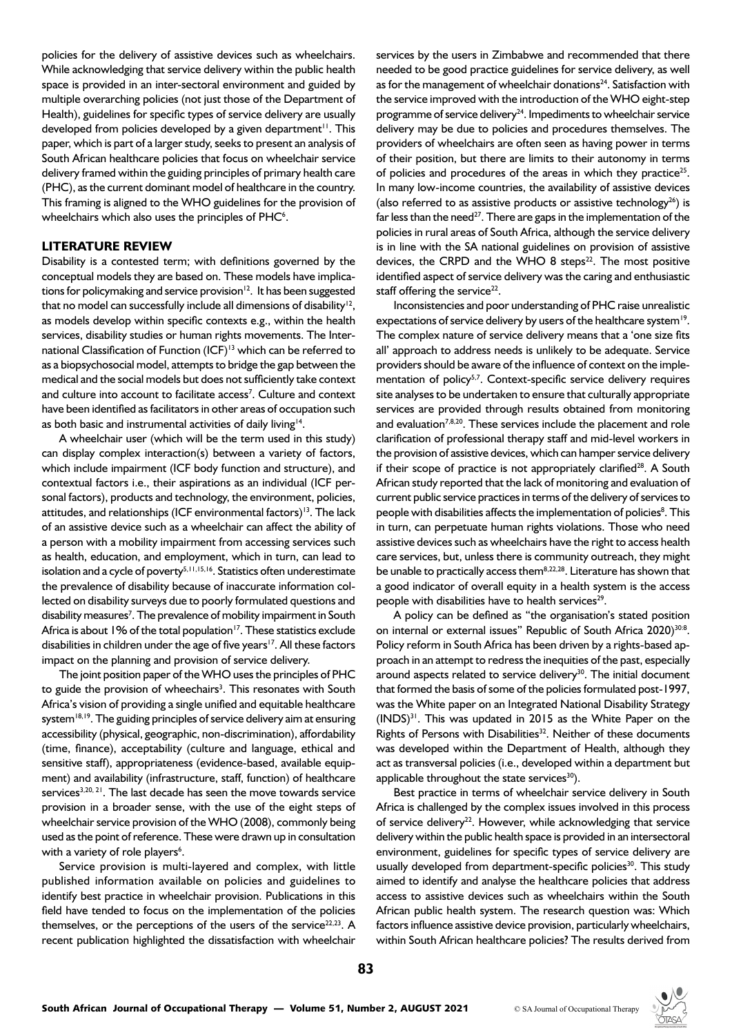policies for the delivery of assistive devices such as wheelchairs. While acknowledging that service delivery within the public health space is provided in an inter-sectoral environment and guided by multiple overarching policies (not just those of the Department of Health), guidelines for specific types of service delivery are usually developed from policies developed by a given department<sup>11</sup>. This paper, which is part of a larger study, seeks to present an analysis of South African healthcare policies that focus on wheelchair service delivery framed within the guiding principles of primary health care (PHC), as the current dominant model of healthcare in the country. This framing is aligned to the WHO guidelines for the provision of wheelchairs which also uses the principles of PHC<sup>6</sup>.

### **LITERATURE REVIEW**

Disability is a contested term; with definitions governed by the conceptual models they are based on. These models have implications for policymaking and service provision $12$ . It has been suggested that no model can successfully include all dimensions of disability<sup>12</sup>, as models develop within specific contexts e.g., within the health services, disability studies or human rights movements. The International Classification of Function (ICF)<sup>13</sup> which can be referred to as a biopsychosocial model, attempts to bridge the gap between the medical and the social models but does not sufficiently take context and culture into account to facilitate access<sup>7</sup>. Culture and context have been identified as facilitators in other areas of occupation such as both basic and instrumental activities of daily living<sup>14</sup>.

A wheelchair user (which will be the term used in this study) can display complex interaction(s) between a variety of factors, which include impairment (ICF body function and structure), and contextual factors i.e., their aspirations as an individual (ICF personal factors), products and technology, the environment, policies, attitudes, and relationships (ICF environmental factors)<sup>13</sup>. The lack of an assistive device such as a wheelchair can affect the ability of a person with a mobility impairment from accessing services such as health, education, and employment, which in turn, can lead to isolation and a cycle of poverty<sup>5,11,15,16</sup>. Statistics often underestimate the prevalence of disability because of inaccurate information collected on disability surveys due to poorly formulated questions and disability measures<sup>7</sup>. The prevalence of mobility impairment in South Africa is about 1% of the total population<sup>17</sup>. These statistics exclude disabilities in children under the age of five years<sup>17</sup>. All these factors impact on the planning and provision of service delivery.

The joint position paper of the WHO uses the principles of PHC to guide the provision of wheechairs<sup>3</sup>. This resonates with South Africa's vision of providing a single unified and equitable healthcare system<sup>18,19</sup>. The guiding principles of service delivery aim at ensuring accessibility (physical, geographic, non-discrimination), affordability (time, finance), acceptability (culture and language, ethical and sensitive staff), appropriateness (evidence-based, available equipment) and availability (infrastructure, staff, function) of healthcare services<sup>3,20, 21</sup>. The last decade has seen the move towards service provision in a broader sense, with the use of the eight steps of wheelchair service provision of the WHO (2008), commonly being used as the point of reference. These were drawn up in consultation with a variety of role players<sup>6</sup>.

Service provision is multi-layered and complex, with little published information available on policies and guidelines to identify best practice in wheelchair provision. Publications in this field have tended to focus on the implementation of the policies themselves, or the perceptions of the users of the service $^{22,23}$ . A recent publication highlighted the dissatisfaction with wheelchair services by the users in Zimbabwe and recommended that there needed to be good practice guidelines for service delivery, as well as for the management of wheelchair donations $24$ . Satisfaction with the service improved with the introduction of the WHO eight-step programme of service delivery<sup>24</sup>. Impediments to wheelchair service delivery may be due to policies and procedures themselves. The providers of wheelchairs are often seen as having power in terms of their position, but there are limits to their autonomy in terms of policies and procedures of the areas in which they practice<sup>25</sup>. In many low-income countries, the availability of assistive devices (also referred to as assistive products or assistive technology $^{26}$ ) is far less than the need<sup>27</sup>. There are gaps in the implementation of the policies in rural areas of South Africa, although the service delivery is in line with the SA national guidelines on provision of assistive devices, the CRPD and the WHO 8 steps $22$ . The most positive identified aspect of service delivery was the caring and enthusiastic staff offering the service $22$ .

Inconsistencies and poor understanding of PHC raise unrealistic expectations of service delivery by users of the healthcare system<sup>19</sup>. The complex nature of service delivery means that a 'one size fits all' approach to address needs is unlikely to be adequate. Service providers should be aware of the influence of context on the implementation of policy<sup>5,7</sup>. Context-specific service delivery requires site analyses to be undertaken to ensure that culturally appropriate services are provided through results obtained from monitoring and evaluation<sup>7,8,20</sup>. These services include the placement and role clarification of professional therapy staff and mid-level workers in the provision of assistive devices, which can hamper service delivery if their scope of practice is not appropriately clarified<sup>28</sup>. A South African study reported that the lack of monitoring and evaluation of current public service practices in terms of the delivery of services to people with disabilities affects the implementation of policies<sup>8</sup>. This in turn, can perpetuate human rights violations. Those who need assistive devices such as wheelchairs have the right to access health care services, but, unless there is community outreach, they might be unable to practically access them<sup>8,22,28</sup>. Literature has shown that a good indicator of overall equity in a health system is the access people with disabilities have to health services<sup>29</sup>.

A policy can be defined as "the organisation's stated position on internal or external issues" Republic of South Africa 2020)<sup>30:8</sup>. Policy reform in South Africa has been driven by a rights-based approach in an attempt to redress the inequities of the past, especially around aspects related to service delivery<sup>30</sup>. The initial document that formed the basis of some of the policies formulated post-1997, was the White paper on an Integrated National Disability Strategy (INDS)31. This was updated in 2015 as the White Paper on the Rights of Persons with Disabilities<sup>32</sup>. Neither of these documents was developed within the Department of Health, although they act as transversal policies (i.e., developed within a department but applicable throughout the state services $30$ ).

Best practice in terms of wheelchair service delivery in South Africa is challenged by the complex issues involved in this process of service delivery<sup>22</sup>. However, while acknowledging that service delivery within the public health space is provided in an intersectoral environment, guidelines for specific types of service delivery are usually developed from department-specific policies<sup>30</sup>. This study aimed to identify and analyse the healthcare policies that address access to assistive devices such as wheelchairs within the South African public health system. The research question was: Which factors influence assistive device provision, particularly wheelchairs, within South African healthcare policies? The results derived from

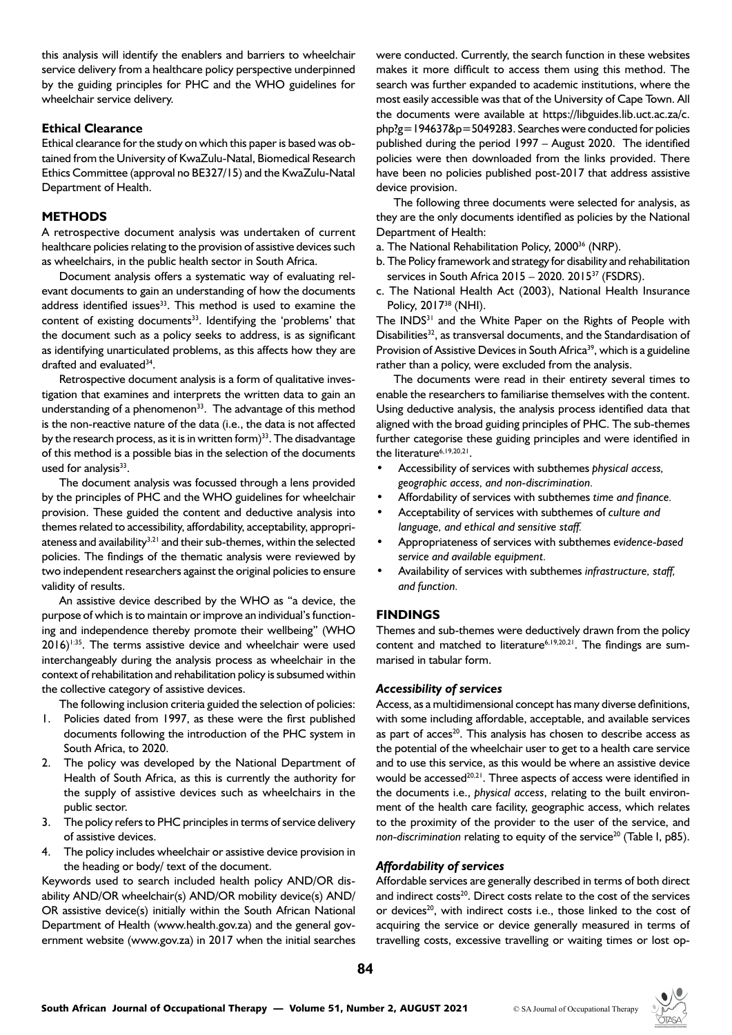this analysis will identify the enablers and barriers to wheelchair service delivery from a healthcare policy perspective underpinned by the guiding principles for PHC and the WHO guidelines for wheelchair service delivery.

# **Ethical Clearance**

Ethical clearance for the study on which this paper is based was obtained from the University of KwaZulu-Natal, Biomedical Research Ethics Committee (approval no BE327/15) and the KwaZulu-Natal Department of Health.

# **METHODS**

A retrospective document analysis was undertaken of current healthcare policies relating to the provision of assistive devices such as wheelchairs, in the public health sector in South Africa.

Document analysis offers a systematic way of evaluating relevant documents to gain an understanding of how the documents address identified issues<sup>33</sup>. This method is used to examine the content of existing documents<sup>33</sup>. Identifying the 'problems' that the document such as a policy seeks to address, is as significant as identifying unarticulated problems, as this affects how they are drafted and evaluated<sup>34</sup>.

Retrospective document analysis is a form of qualitative investigation that examines and interprets the written data to gain an understanding of a phenomenon<sup>33</sup>. The advantage of this method is the non-reactive nature of the data (i.e., the data is not affected by the research process, as it is in written form $33$ . The disadvantage of this method is a possible bias in the selection of the documents used for analysis<sup>33</sup>.

The document analysis was focussed through a lens provided by the principles of PHC and the WHO guidelines for wheelchair provision. These guided the content and deductive analysis into themes related to accessibility, affordability, acceptability, appropriateness and availability $3,21$  and their sub-themes, within the selected policies. The findings of the thematic analysis were reviewed by two independent researchers against the original policies to ensure validity of results.

An assistive device described by the WHO as "a device, the purpose of which is to maintain or improve an individual's functioning and independence thereby promote their wellbeing" (WHO  $2016$ <sup>1:35</sup>. The terms assistive device and wheelchair were used interchangeably during the analysis process as wheelchair in the context of rehabilitation and rehabilitation policy is subsumed within the collective category of assistive devices.

The following inclusion criteria guided the selection of policies:

- 1. Policies dated from 1997, as these were the first published documents following the introduction of the PHC system in South Africa, to 2020.
- 2. The policy was developed by the National Department of Health of South Africa, as this is currently the authority for the supply of assistive devices such as wheelchairs in the public sector.
- 3. The policy refers to PHC principles in terms of service delivery of assistive devices.
- 4. The policy includes wheelchair or assistive device provision in the heading or body/ text of the document.

Keywords used to search included health policy AND/OR disability AND/OR wheelchair(s) AND/OR mobility device(s) AND/ OR assistive device(s) initially within the South African National Department of Health (www.health.gov.za) and the general government website (www.gov.za) in 2017 when the initial searches

were conducted. Currently, the search function in these websites makes it more difficult to access them using this method. The search was further expanded to academic institutions, where the most easily accessible was that of the University of Cape Town. All the documents were available at https://libguides.lib.uct.ac.za/c. php?g=194637&p=5049283. Searches were conducted for policies published during the period 1997 – August 2020. The identified policies were then downloaded from the links provided. There have been no policies published post-2017 that address assistive device provision.

The following three documents were selected for analysis, as they are the only documents identified as policies by the National Department of Health:

- a. The National Rehabilitation Policy, 200036 (NRP).
- b. The Policy framework and strategy for disability and rehabilitation services in South Africa 2015 – 2020. 201537 (FSDRS).
- c. The National Health Act (2003), National Health Insurance Policy, 201738 (NHI).

The INDS<sup>31</sup> and the White Paper on the Rights of People with Disabilities<sup>32</sup>, as transversal documents, and the Standardisation of Provision of Assistive Devices in South Africa<sup>39</sup>, which is a guideline rather than a policy, were excluded from the analysis.

The documents were read in their entirety several times to enable the researchers to familiarise themselves with the content. Using deductive analysis, the analysis process identified data that aligned with the broad guiding principles of PHC. The sub-themes further categorise these guiding principles and were identified in the literature<sup>6,19,20,21</sup>.

- Accessibility of services with subthemes *physical access, geographic access, and non-discrimination.*
- Affordability of services with subthemes *time and finance.*
- Acceptability of services with subthemes of *culture and language, and ethical and sensitive staff.*
- Appropriateness of services with subthemes *evidence-based service and available equipment.*
- Availability of services with subthemes *infrastructure, staff, and function.*

# **FINDINGS**

Themes and sub-themes were deductively drawn from the policy content and matched to literature<sup>6,19,20,21</sup>. The findings are summarised in tabular form.

#### *Accessibility of services*

Access, as a multidimensional concept has many diverse definitions, with some including affordable, acceptable, and available services as part of  $access^{20}$ . This analysis has chosen to describe access as the potential of the wheelchair user to get to a health care service and to use this service, as this would be where an assistive device would be accessed<sup>20,21</sup>. Three aspects of access were identified in the documents i.e., *physical access*, relating to the built environment of the health care facility, geographic access, which relates to the proximity of the provider to the user of the service, and *non-discrimination relating to equity of the service<sup>20</sup> (Table I, p85).* 

# *Affordability of services*

Affordable services are generally described in terms of both direct and indirect costs $^{20}$ . Direct costs relate to the cost of the services or devices<sup>20</sup>, with indirect costs i.e., those linked to the cost of acquiring the service or device generally measured in terms of travelling costs, excessive travelling or waiting times or lost op-

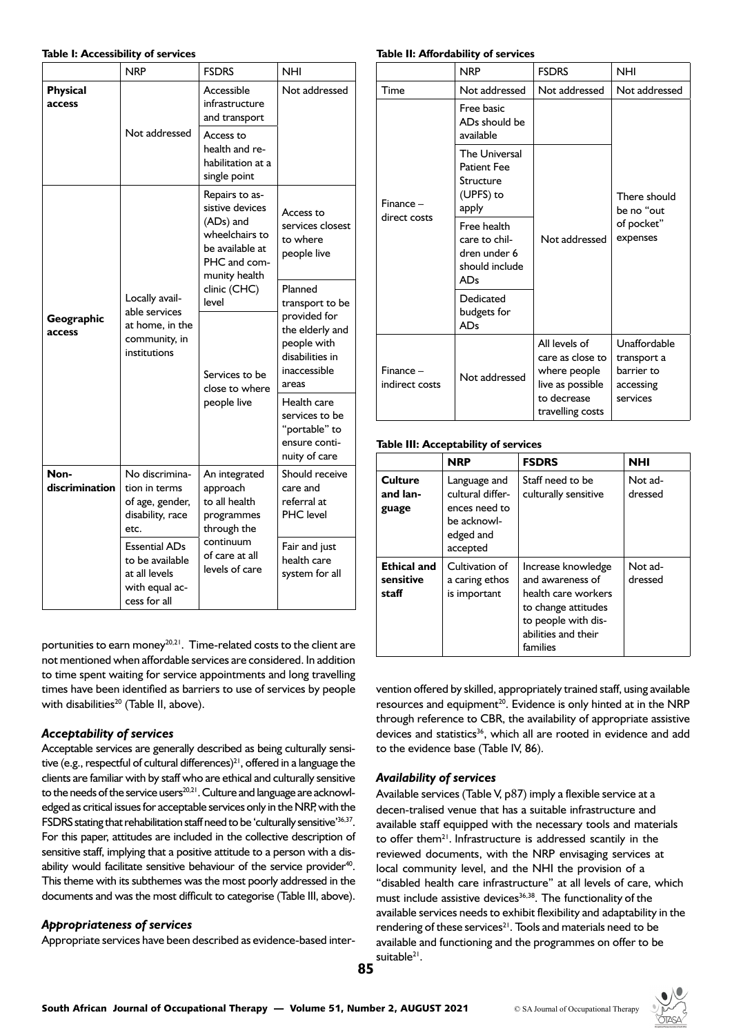#### **Table I: Accessibility of services**

|                           | <b>NRP</b>                                                                                 | <b>FSDRS</b>                                                                                                             | <b>NHI</b>                                                                                 |
|---------------------------|--------------------------------------------------------------------------------------------|--------------------------------------------------------------------------------------------------------------------------|--------------------------------------------------------------------------------------------|
| <b>Physical</b><br>access | Not addressed                                                                              | Accessible<br>infrastructure<br>and transport                                                                            | Not addressed                                                                              |
|                           |                                                                                            | Access to<br>health and re-<br>habilitation at a<br>single point                                                         |                                                                                            |
|                           |                                                                                            | Repairs to as-<br>sistive devices<br>(ADs) and<br>wheelchairs to<br>be available at<br>PHC and com-<br>munity health     | Access to<br>services closest<br>to where<br>people live                                   |
| Geographic<br>access      | Locally avail-<br>able services<br>at home, in the<br>community, in<br>institutions        | clinic (CHC)<br>level                                                                                                    | Planned<br>transport to be                                                                 |
|                           |                                                                                            | Services to be<br>close to where<br>people live                                                                          | provided for<br>the elderly and<br>people with<br>disabilities in<br>inaccessible<br>areas |
|                           |                                                                                            |                                                                                                                          | Health care<br>services to be<br>"portable" to<br>ensure conti-<br>nuity of care           |
| Non-<br>discrimination    | No discrimina-<br>tion in terms<br>of age, gender,<br>disability, race<br>etc.             | An integrated<br>approach<br>to all health<br>programmes<br>through the<br>continuum<br>of care at all<br>levels of care | Should receive<br>care and<br>referral at<br>PHC level                                     |
|                           | <b>Essential ADs</b><br>to be available<br>at all levels<br>with equal ac-<br>cess for all |                                                                                                                          | Fair and just<br>health care<br>system for all                                             |

portunities to earn money<sup>20,21</sup>. Time-related costs to the client are not mentioned when affordable services are considered. In addition to time spent waiting for service appointments and long travelling times have been identified as barriers to use of services by people with disabilities $^{20}$  (Table II, above).

# *Acceptability of services*

Acceptable services are generally described as being culturally sensitive (e.g., respectful of cultural differences)<sup>21</sup>, offered in a language the clients are familiar with by staff who are ethical and culturally sensitive to the needs of the service users<sup>20,21</sup>. Culture and language are acknowledged as critical issues for acceptable services only in the NRP, with the FSDRS stating that rehabilitation staff need to be 'culturally sensitive'36,37. For this paper, attitudes are included in the collective description of sensitive staff, implying that a positive attitude to a person with a disability would facilitate sensitive behaviour of the service provider<sup>40</sup>. This theme with its subthemes was the most poorly addressed in the documents and was the most difficult to categorise (Table III, above).

# *Appropriateness of services*

Appropriate services have been described as evidence-based inter-

#### **Table II: Affordability of services**

|                               | <b>NRP</b>                                                                    | <b>FSDRS</b>                                                                                             | <b>NHI</b>                                                         |
|-------------------------------|-------------------------------------------------------------------------------|----------------------------------------------------------------------------------------------------------|--------------------------------------------------------------------|
| Time                          | Not addressed                                                                 | Not addressed                                                                                            | Not addressed                                                      |
| Finance -<br>direct costs     | Free basic<br>ADs should be<br>available                                      |                                                                                                          |                                                                    |
|                               | <b>The Universal</b><br><b>Patient Fee</b><br>Structure<br>(UPFS) to<br>apply |                                                                                                          | There should<br>be no "out                                         |
|                               | Free health<br>care to chil-<br>dren under 6<br>should include<br>ADs         | Not addressed                                                                                            | of pocket"<br>expenses                                             |
|                               | Dedicated<br>budgets for<br><b>ADs</b>                                        |                                                                                                          |                                                                    |
| $Finance -$<br>indirect costs | Not addressed                                                                 | All levels of<br>care as close to<br>where people<br>live as possible<br>to decrease<br>travelling costs | Unaffordable<br>transport a<br>barrier to<br>accessing<br>services |

#### **Table III: Acceptability of services**

|                                          | <b>NRP</b>                                                                                | <b>FSDRS</b>                                                                                                                                   | <b>NHI</b>         |
|------------------------------------------|-------------------------------------------------------------------------------------------|------------------------------------------------------------------------------------------------------------------------------------------------|--------------------|
| Culture<br>and lan-<br>guage             | Language and<br>cultural differ-<br>ences need to<br>be acknowl-<br>edged and<br>accepted | Staff need to be<br>culturally sensitive                                                                                                       | Not ad-<br>dressed |
| <b>Ethical and</b><br>sensitive<br>staff | Cultivation of<br>a caring ethos<br>is important                                          | Increase knowledge<br>and awareness of<br>health care workers<br>to change attitudes<br>to people with dis-<br>abilities and their<br>families | Not ad-<br>dressed |

vention offered by skilled, appropriately trained staff, using available resources and equipment<sup>20</sup>. Evidence is only hinted at in the NRP through reference to CBR, the availability of appropriate assistive devices and statistics<sup>36</sup>, which all are rooted in evidence and add to the evidence base (Table IV, 86).

# *Availability of services*

Available services (Table V, p87) imply a flexible service at a decen-tralised venue that has a suitable infrastructure and available staff equipped with the necessary tools and materials to offer them<sup>21</sup>. Infrastructure is addressed scantily in the reviewed documents, with the NRP envisaging services at local community level, and the NHI the provision of a "disabled health care infrastructure" at all levels of care, which must include assistive devices<sup>36,38</sup>. The functionality of the available services needs to exhibit flexibility and adaptability in the rendering of these services<sup>21</sup>. Tools and materials need to be available and functioning and the programmes on offer to be suitable<sup>21</sup>.

**85**

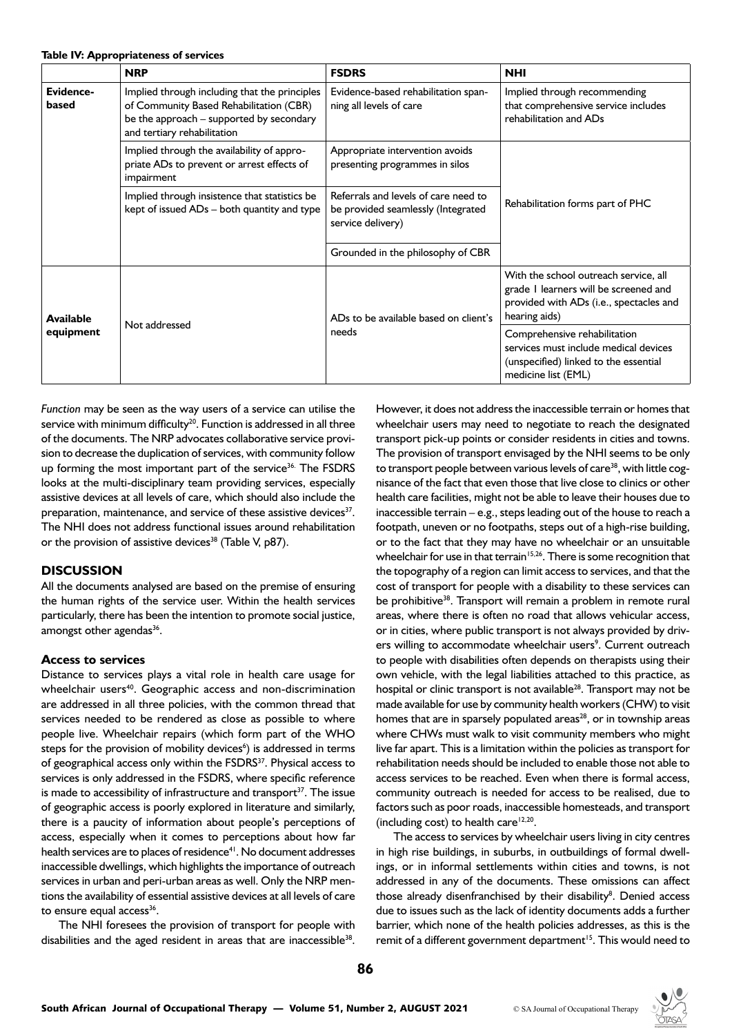|                               | <b>NRP</b>                                                                                                                                                          | <b>FSDRS</b>                                                                                    | <b>NHI</b>                                                                                                                                 |
|-------------------------------|---------------------------------------------------------------------------------------------------------------------------------------------------------------------|-------------------------------------------------------------------------------------------------|--------------------------------------------------------------------------------------------------------------------------------------------|
| Evidence-<br>based            | Implied through including that the principles<br>of Community Based Rehabilitation (CBR)<br>be the approach - supported by secondary<br>and tertiary rehabilitation | Evidence-based rehabilitation span-<br>ning all levels of care                                  | Implied through recommending<br>that comprehensive service includes<br>rehabilitation and ADs                                              |
|                               | Implied through the availability of appro-<br>priate ADs to prevent or arrest effects of<br>impairment                                                              | Appropriate intervention avoids<br>presenting programmes in silos                               |                                                                                                                                            |
|                               | Implied through insistence that statistics be<br>kept of issued ADs - both quantity and type                                                                        | Referrals and levels of care need to<br>be provided seamlessly (Integrated<br>service delivery) | Rehabilitation forms part of PHC                                                                                                           |
|                               |                                                                                                                                                                     | Grounded in the philosophy of CBR                                                               |                                                                                                                                            |
| <b>Available</b><br>equipment | Not addressed                                                                                                                                                       | ADs to be available based on client's<br>needs                                                  | With the school outreach service, all<br>grade I learners will be screened and<br>provided with ADs (i.e., spectacles and<br>hearing aids) |
|                               |                                                                                                                                                                     |                                                                                                 | Comprehensive rehabilitation<br>services must include medical devices<br>(unspecified) linked to the essential<br>medicine list (EML)      |

*Function* may be seen as the way users of a service can utilise the service with minimum difficulty<sup>20</sup>. Function is addressed in all three of the documents. The NRP advocates collaborative service provision to decrease the duplication of services, with community follow up forming the most important part of the service<sup>36.</sup> The FSDRS looks at the multi-disciplinary team providing services, especially assistive devices at all levels of care, which should also include the preparation, maintenance, and service of these assistive devices<sup>37</sup>. The NHI does not address functional issues around rehabilitation or the provision of assistive devices<sup>38</sup> (Table V,  $p87$ ).

# **DISCUSSION**

All the documents analysed are based on the premise of ensuring the human rights of the service user. Within the health services particularly, there has been the intention to promote social justice, amongst other agendas<sup>36</sup>.

#### **Access to services**

Distance to services plays a vital role in health care usage for wheelchair users<sup>40</sup>. Geographic access and non-discrimination are addressed in all three policies, with the common thread that services needed to be rendered as close as possible to where people live. Wheelchair repairs (which form part of the WHO steps for the provision of mobility devices<sup>6</sup>) is addressed in terms of geographical access only within the FSDRS<sup>37</sup>. Physical access to services is only addressed in the FSDRS, where specific reference is made to accessibility of infrastructure and transport $37$ . The issue of geographic access is poorly explored in literature and similarly, there is a paucity of information about people's perceptions of access, especially when it comes to perceptions about how far health services are to places of residence<sup>41</sup>. No document addresses inaccessible dwellings, which highlights the importance of outreach services in urban and peri-urban areas as well. Only the NRP mentions the availability of essential assistive devices at all levels of care to ensure equal access<sup>36</sup>.

The NHI foresees the provision of transport for people with disabilities and the aged resident in areas that are inaccessible<sup>38</sup>. However, it does not address the inaccessible terrain or homes that wheelchair users may need to negotiate to reach the designated transport pick-up points or consider residents in cities and towns. The provision of transport envisaged by the NHI seems to be only to transport people between various levels of care<sup>38</sup>, with little cognisance of the fact that even those that live close to clinics or other health care facilities, might not be able to leave their houses due to inaccessible terrain – e.g., steps leading out of the house to reach a footpath, uneven or no footpaths, steps out of a high-rise building, or to the fact that they may have no wheelchair or an unsuitable wheelchair for use in that terrain<sup>15,26</sup>. There is some recognition that the topography of a region can limit access to services, and that the cost of transport for people with a disability to these services can be prohibitive<sup>38</sup>. Transport will remain a problem in remote rural areas, where there is often no road that allows vehicular access, or in cities, where public transport is not always provided by drivers willing to accommodate wheelchair users<sup>9</sup>. Current outreach to people with disabilities often depends on therapists using their own vehicle, with the legal liabilities attached to this practice, as hospital or clinic transport is not available<sup>28</sup>. Transport may not be made available for use by community health workers (CHW) to visit homes that are in sparsely populated areas $^{28}$ , or in township areas where CHWs must walk to visit community members who might live far apart. This is a limitation within the policies as transport for rehabilitation needs should be included to enable those not able to access services to be reached. Even when there is formal access, community outreach is needed for access to be realised, due to factors such as poor roads, inaccessible homesteads, and transport (including cost) to health care $12,20$ .

The access to services by wheelchair users living in city centres in high rise buildings, in suburbs, in outbuildings of formal dwellings, or in informal settlements within cities and towns, is not addressed in any of the documents. These omissions can affect those already disenfranchised by their disability<sup>8</sup>. Denied access due to issues such as the lack of identity documents adds a further barrier, which none of the health policies addresses, as this is the remit of a different government department<sup>15</sup>. This would need to

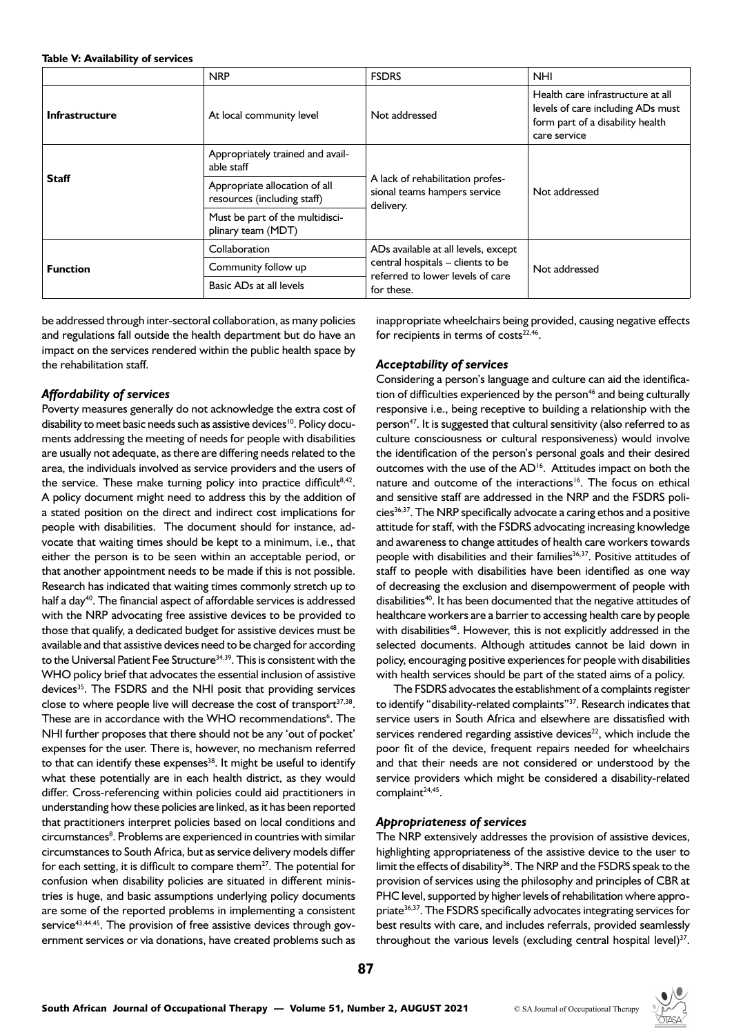#### **Table V: Availability of services**

|                                                                                    | <b>NRP</b>                                                   | <b>FSDRS</b>                                                                                                               | <b>NHI</b>                                                                                                                 |
|------------------------------------------------------------------------------------|--------------------------------------------------------------|----------------------------------------------------------------------------------------------------------------------------|----------------------------------------------------------------------------------------------------------------------------|
| <b>Infrastructure</b>                                                              | At local community level                                     | Not addressed                                                                                                              | Health care infrastructure at all<br>levels of care including ADs must<br>form part of a disability health<br>care service |
| <b>Staff</b>                                                                       | Appropriately trained and avail-<br>able staff               | A lack of rehabilitation profes-<br>sional teams hampers service<br>delivery.                                              | Not addressed                                                                                                              |
|                                                                                    | Appropriate allocation of all<br>resources (including staff) |                                                                                                                            |                                                                                                                            |
|                                                                                    | Must be part of the multidisci-<br>plinary team (MDT)        |                                                                                                                            |                                                                                                                            |
| Collaboration<br>Community follow up<br><b>Function</b><br>Basic ADs at all levels |                                                              | ADs available at all levels, except<br>central hospitals - clients to be<br>referred to lower levels of care<br>for these. | Not addressed                                                                                                              |
|                                                                                    |                                                              |                                                                                                                            |                                                                                                                            |
|                                                                                    |                                                              |                                                                                                                            |                                                                                                                            |

be addressed through inter-sectoral collaboration, as many policies and regulations fall outside the health department but do have an impact on the services rendered within the public health space by the rehabilitation staff.

# *Affordability of services*

Poverty measures generally do not acknowledge the extra cost of disability to meet basic needs such as assistive devices<sup>10</sup>. Policy documents addressing the meeting of needs for people with disabilities are usually not adequate, as there are differing needs related to the area, the individuals involved as service providers and the users of the service. These make turning policy into practice difficult<sup>8,42</sup>. A policy document might need to address this by the addition of a stated position on the direct and indirect cost implications for people with disabilities. The document should for instance, advocate that waiting times should be kept to a minimum, i.e., that either the person is to be seen within an acceptable period, or that another appointment needs to be made if this is not possible. Research has indicated that waiting times commonly stretch up to half a day<sup>40</sup>. The financial aspect of affordable services is addressed with the NRP advocating free assistive devices to be provided to those that qualify, a dedicated budget for assistive devices must be available and that assistive devices need to be charged for according to the Universal Patient Fee Structure<sup>34,39</sup>. This is consistent with the WHO policy brief that advocates the essential inclusion of assistive devices<sup>35</sup>. The FSDRS and the NHI posit that providing services close to where people live will decrease the cost of transport $37,38$ . These are in accordance with the WHO recommendations<sup>6</sup>. The NHI further proposes that there should not be any 'out of pocket' expenses for the user. There is, however, no mechanism referred to that can identify these expenses<sup>38</sup>. It might be useful to identify what these potentially are in each health district, as they would differ. Cross-referencing within policies could aid practitioners in understanding how these policies are linked, as it has been reported that practitioners interpret policies based on local conditions and circumstances<sup>8</sup>. Problems are experienced in countries with similar circumstances to South Africa, but as service delivery models differ for each setting, it is difficult to compare them $^{27}$ . The potential for confusion when disability policies are situated in different ministries is huge, and basic assumptions underlying policy documents are some of the reported problems in implementing a consistent service<sup>43,44,45</sup>. The provision of free assistive devices through government services or via donations, have created problems such as

inappropriate wheelchairs being provided, causing negative effects for recipients in terms of  $costs^{22,46}$ .

# *Acceptability of services*

Considering a person's language and culture can aid the identification of difficulties experienced by the person<sup>46</sup> and being culturally responsive i.e., being receptive to building a relationship with the person<sup>47</sup>. It is suggested that cultural sensitivity (also referred to as culture consciousness or cultural responsiveness) would involve the identification of the person's personal goals and their desired outcomes with the use of the AD<sup>16</sup>. Attitudes impact on both the nature and outcome of the interactions<sup>16</sup>. The focus on ethical and sensitive staff are addressed in the NRP and the FSDRS policies<sup>36,37</sup>. The NRP specifically advocate a caring ethos and a positive attitude for staff, with the FSDRS advocating increasing knowledge and awareness to change attitudes of health care workers towards people with disabilities and their families<sup>36,37</sup>. Positive attitudes of staff to people with disabilities have been identified as one way of decreasing the exclusion and disempowerment of people with disabilities<sup>40</sup>. It has been documented that the negative attitudes of healthcare workers are a barrier to accessing health care by people with disabilities<sup>48</sup>. However, this is not explicitly addressed in the selected documents. Although attitudes cannot be laid down in policy, encouraging positive experiences for people with disabilities with health services should be part of the stated aims of a policy.

The FSDRS advocates the establishment of a complaints register to identify "disability-related complaints"<sup>37</sup>. Research indicates that service users in South Africa and elsewhere are dissatisfied with services rendered regarding assistive devices $^{22}$ , which include the poor fit of the device, frequent repairs needed for wheelchairs and that their needs are not considered or understood by the service providers which might be considered a disability-related complaint<sup>24,45</sup>.

# *Appropriateness of services*

The NRP extensively addresses the provision of assistive devices, highlighting appropriateness of the assistive device to the user to limit the effects of disability<sup>36</sup>. The NRP and the FSDRS speak to the provision of services using the philosophy and principles of CBR at PHC level, supported by higher levels of rehabilitation where appropriate<sup>36,37</sup>. The FSDRS specifically advocates integrating services for best results with care, and includes referrals, provided seamlessly throughout the various levels (excluding central hospital level) $37$ .

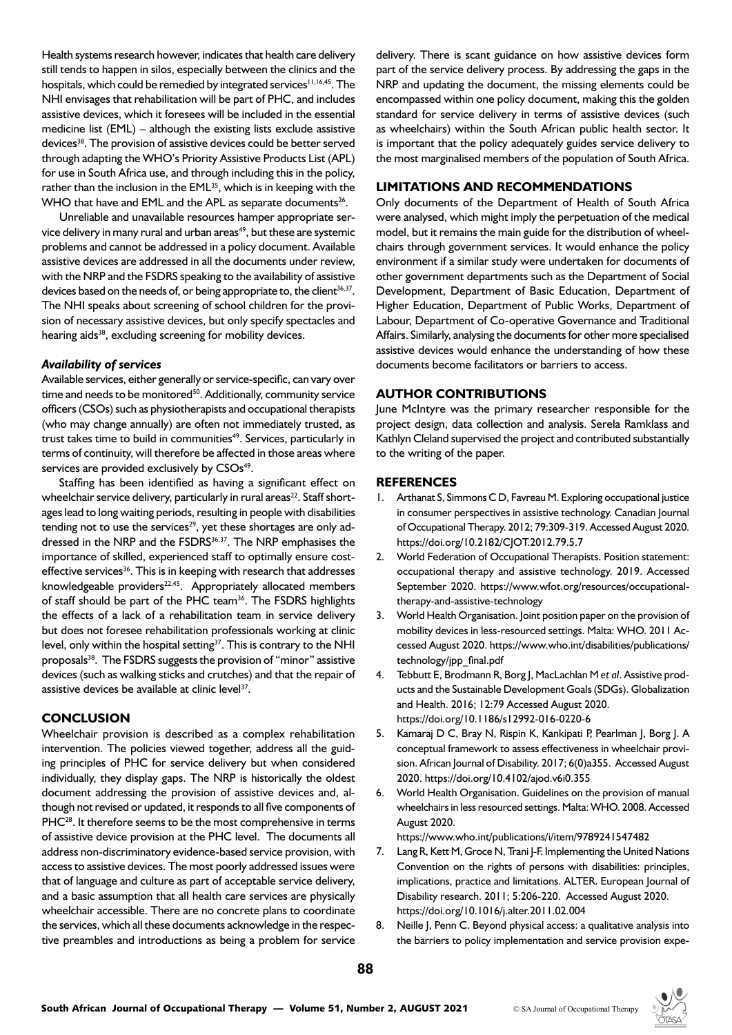Health systems research however, indicates that health care delivery still tends to happen in silos, especially between the clinics and the hospitals, which could be remedied by integrated services<sup>11,16,45</sup>. The NHI envisages that rehabilitation will be part of PHC, and includes assistive devices, which it foresees will be included in the essential medicine list (EML) – although the existing lists exclude assistive devices<sup>38</sup>. The provision of assistive devices could be better served through adapting the WHO's Priority Assistive Products List (APL) for use in South Africa use, and through including this in the policy, rather than the inclusion in the EML<sup>35</sup>, which is in keeping with the WHO that have and EML and the APL as separate documents<sup>26</sup>.

Unreliable and unavailable resources hamper appropriate service delivery in many rural and urban areas<sup>49</sup>, but these are systemic problems and cannot be addressed in a policy document. Available assistive devices are addressed in all the documents under review, with the NRP and the FSDRS speaking to the availability of assistive devices based on the needs of, or being appropriate to, the client<sup>36,37</sup>. The NHI speaks about screening of school children for the provision of necessary assistive devices, but only specify spectacles and hearing aids<sup>38</sup>, excluding screening for mobility devices.

#### *Availability of services*

Available services, either generally or service-specific, can vary over time and needs to be monitored<sup>50</sup>. Additionally, community service officers (CSOs) such as physiotherapists and occupational therapists (who may change annually) are often not immediately trusted, as trust takes time to build in communities<sup>49</sup>. Services, particularly in terms of continuity, will therefore be affected in those areas where services are provided exclusively by CSOs<sup>49</sup>.

Staffing has been identified as having a significant effect on wheelchair service delivery, particularly in rural areas<sup>22</sup>. Staff shortages lead to long waiting periods, resulting in people with disabilities tending not to use the services $29$ , yet these shortages are only addressed in the NRP and the FSDRS<sup>36,37</sup>. The NRP emphasises the importance of skilled, experienced staff to optimally ensure costeffective services<sup>36</sup>. This is in keeping with research that addresses knowledgeable providers $^{22,45}$ . Appropriately allocated members of staff should be part of the PHC team<sup>36</sup>. The FSDRS highlights the effects of a lack of a rehabilitation team in service delivery but does not foresee rehabilitation professionals working at clinic level, only within the hospital setting<sup>37</sup>. This is contrary to the NHI proposals<sup>38</sup>. The FSDRS suggests the provision of "minor" assistive devices (such as walking sticks and crutches) and that the repair of assistive devices be available at clinic level<sup>37</sup>.

# **CONCLUSION**

Wheelchair provision is described as a complex rehabilitation intervention. The policies viewed together, address all the guiding principles of PHC for service delivery but when considered individually, they display gaps. The NRP is historically the oldest document addressing the provision of assistive devices and, although not revised or updated, it responds to all five components of PHC<sup>28</sup>. It therefore seems to be the most comprehensive in terms of assistive device provision at the PHC level. The documents all address non-discriminatory evidence-based service provision, with access to assistive devices. The most poorly addressed issues were that of language and culture as part of acceptable service delivery, and a basic assumption that all health care services are physically wheelchair accessible. There are no concrete plans to coordinate the services, which all these documents acknowledge in the respective preambles and introductions as being a problem for service

delivery. There is scant guidance on how assistive devices form part of the service delivery process. By addressing the gaps in the NRP and updating the document, the missing elements could be encompassed within one policy document, making this the golden standard for service delivery in terms of assistive devices (such as wheelchairs) within the South African public health sector. It is important that the policy adequately guides service delivery to the most marginalised members of the population of South Africa.

# **LIMITATIONS AND RECOMMENDATIONS**

Only documents of the Department of Health of South Africa were analysed, which might imply the perpetuation of the medical model, but it remains the main guide for the distribution of wheelchairs through government services. It would enhance the policy environment if a similar study were undertaken for documents of other government departments such as the Department of Social Development, Department of Basic Education, Department of Higher Education, Department of Public Works, Department of Labour, Department of Co-operative Governance and Traditional Affairs. Similarly, analysing the documents for other more specialised assistive devices would enhance the understanding of how these documents become facilitators or barriers to access.

# **AUTHOR CONTRIBUTIONS**

June McIntyre was the primary researcher responsible for the project design, data collection and analysis. Serela Ramklass and Kathlyn Cleland supervised the project and contributed substantially to the writing of the paper.

# **REFERENCES**

- 1. Arthanat S, Simmons C D, Favreau M. Exploring occupational justice in consumer perspectives in assistive technology. Canadian Journal of Occupational Therapy. 2012; 79:309-319. Accessed August 2020. https://doi.org/10.2182/CJOT.2012.79.5.7
- 2. World Federation of Occupational Therapists. Position statement: occupational therapy and assistive technology. 2019. Accessed September 2020. https://www.wfot.org/resources/occupationaltherapy-and-assistive-technology
- 3. World Health Organisation. Joint position paper on the provision of mobility devices in less-resourced settings. Malta: WHO. 2011 Accessed August 2020. [https://www.who.int/disabilities/publications/](https://www.who.int/disabilities/publications/technology/jpp_final.pdf) [technology/jpp\\_final.pdf](https://www.who.int/disabilities/publications/technology/jpp_final.pdf)
- 4. Tebbutt E, Brodmann R, Borg J, MacLachlan M *et al*. Assistive products and the Sustainable Development Goals (SDGs). Globalization and Health. 2016; 12:79 Accessed August 2020. https://doi.org/10.1186/s12992-016-0220-6
- 5. Kamaraj D C, Bray N, Rispin K, Kankipati P, Pearlman J, Borg J. A conceptual framework to assess effectiveness in wheelchair provision. African Journal of Disability. 2017; 6(0)a355. Accessed August 2020. https://doi.org/10.4102/ajod.v6i0.355
- 6. World Health Organisation. Guidelines on the provision of manual wheelchairs in less resourced settings. Malta: WHO. 2008. Accessed August 2020.

https://www.who.int/publications/i/item/9789241547482

- 7. Lang R, Kett M, Groce N, Trani J-F. Implementing the United Nations Convention on the rights of persons with disabilities: principles, implications, practice and limitations. ALTER. European Journal of Disability research. 2011; 5:206-220. Accessed August 2020. https://doi.org/10.1016/j.alter.2011.02.004
- 8. Neille J, Penn C. Beyond physical access: a qualitative analysis into the barriers to policy implementation and service provision expe-

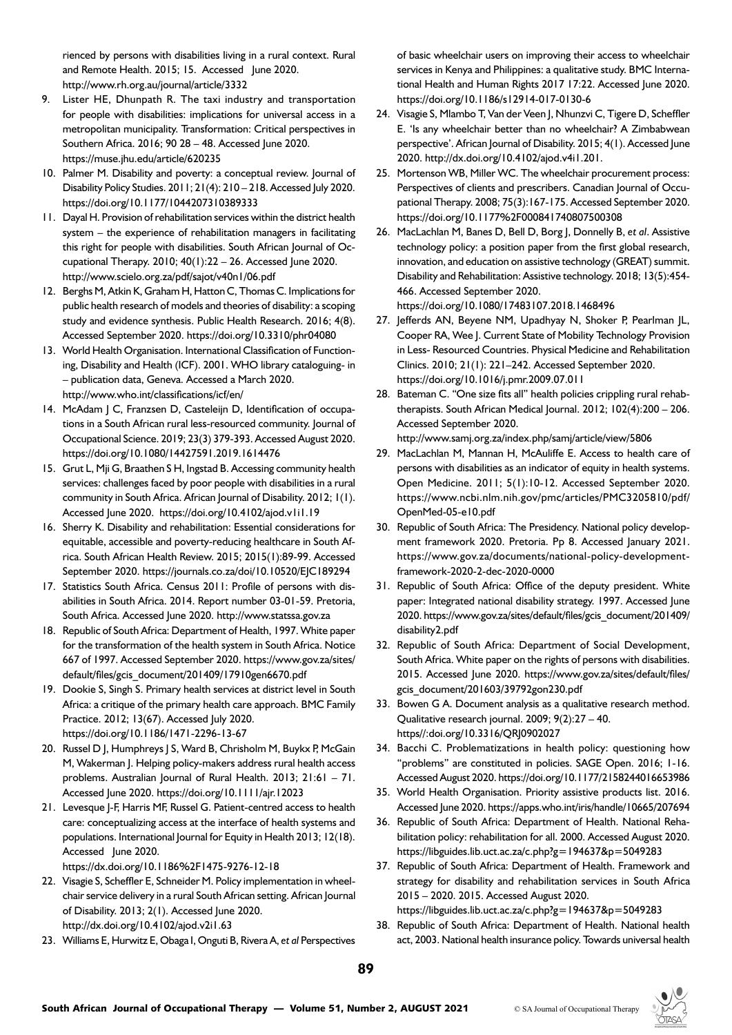rienced by persons with disabilities living in a rural context. Rural and Remote Health. 2015; 15. Accessed June 2020. http://www.rh.org.au/journal/article/3332

- 9. Lister HE, Dhunpath R. The taxi industry and transportation for people with disabilities: implications for universal access in a metropolitan municipality. Transformation: Critical perspectives in Southern Africa. 2016; 90 28 – 48. Accessed June 2020. https://muse.jhu.edu/article/620235
- 10. Palmer M. Disability and poverty: a conceptual review. Journal of Disability Policy Studies. 2011; 21(4): 210 – 218. Accessed July 2020. https://doi.org/10.1177/1044207310389333
- 11. Dayal H. Provision of rehabilitation services within the district health system – the experience of rehabilitation managers in facilitating this right for people with disabilities. South African Journal of Occupational Therapy. 2010; 40(1):22 – 26. Accessed June 2020. http://www.scielo.org.za/pdf/sajot/v40n1/06.pdf
- 12. Berghs M, Atkin K, Graham H, Hatton C, Thomas C. Implications for public health research of models and theories of disability: a scoping study and evidence synthesis. Public Health Research. 2016; 4(8). Accessed September 2020. https://doi.org/10.3310/phr04080
- 13. World Health Organisation. International Classification of Functioning, Disability and Health (ICF). 2001. WHO library cataloguing- in – publication data, Geneva. Accessed a March 2020. http://www.who.int/classifications/icf/en/
- 14. McAdam J C, Franzsen D, Casteleijn D, Identification of occupations in a South African rural less-resourced community. Journal of Occupational Science. 2019; 23(3) 379-393. Accessed August 2020. https://doi.org/10.1080/14427591.2019.1614476
- 15. Grut L, Mji G, Braathen S H, Ingstad B. Accessing community health services: challenges faced by poor people with disabilities in a rural community in South Africa. African Journal of Disability. 2012; 1(1). Accessed June 2020. https://doi.org/10.4102/ajod.v1i1.19
- 16. Sherry K. Disability and rehabilitation: Essential considerations for equitable, accessible and poverty-reducing healthcare in South Africa. South African Health Review. 2015; 2015(1):89-99. Accessed September 2020. https://journals.co.za/doi/10.10520/EJC189294
- 17. Statistics South Africa. Census 2011: Profile of persons with disabilities in South Africa. 2014. Report number 03-01-59. Pretoria, South Africa. Accessed June 2020. http://www.statssa.gov.za
- 18. Republic of South Africa: Department of Health, 1997. White paper for the transformation of the health system in South Africa. Notice 667 of 1997. Accessed September 2020. [https://www.gov.za/sites/](https://www.gov.za/sites/default/files/gcis_document/201409/17910gen6670.pdf ) [default/files/gcis\\_document/201409/17910gen6670.pdf](https://www.gov.za/sites/default/files/gcis_document/201409/17910gen6670.pdf )
- 19. Dookie S, Singh S. Primary health services at district level in South Africa: a critique of the primary health care approach. BMC Family Practice. 2012; 13(67). Accessed July 2020. https://doi.org/10.1186/1471-2296-13-67
- 20. Russel D J, Humphreys J S, Ward B, Chrisholm M, Buykx P, McGain M, Wakerman J. Helping policy-makers address rural health access problems. Australian Journal of Rural Health. 2013; 21:61 – 71. Accessed June 2020. https://doi.org/10.1111/ajr.12023
- 21. Levesque J-F, Harris MF, Russel G. Patient-centred access to health care: conceptualizing access at the interface of health systems and populations. International Journal for Equity in Health 2013; 12(18). Accessed June 2020.

https://dx.doi.org/10.1186%2F1475-9276-12-18

- 22. Visagie S, Scheffler E, Schneider M. Policy implementation in wheelchair service delivery in a rural South African setting. African Journal of Disability. 2013; 2(1). Accessed June 2020. http://dx.doi.org/10.4102/ajod.v2i1.63
- 23. Williams E, Hurwitz E, Obaga I, Onguti B, Rivera A, *et al* Perspectives

of basic wheelchair users on improving their access to wheelchair services in Kenya and Philippines: a qualitative study. BMC International Health and Human Rights 2017 17:22. Accessed June 2020. https://doi.org/10.1186/s12914-017-0130-6

- 24. Visagie S, Mlambo T, Van der Veen J, Nhunzvi C, Tigere D, Scheffler E. 'Is any wheelchair better than no wheelchair? A Zimbabwean perspective'. African Journal of Disability. 2015; 4(1). Accessed June 2020. http://dx.doi.org/10.4102/ajod.v4i1.201.
- 25. Mortenson WB, Miller WC. The wheelchair procurement process: Perspectives of clients and prescribers. Canadian Journal of Occupational Therapy. 2008; 75(3):167-175. Accessed September 2020. https://doi.org/10.1177%2F000841740807500308
- 26. MacLachlan M, Banes D, Bell D, Borg J, Donnelly B, *et al*. Assistive technology policy: a position paper from the first global research, innovation, and education on assistive technology (GREAT) summit. Disability and Rehabilitation: Assistive technology. 2018; 13(5):454- 466. Accessed September 2020. https://doi.org/10.1080/17483107.2018.1468496
- 27. Jefferds AN, Beyene NM, Upadhyay N, Shoker P, Pearlman JL, Cooper RA, Wee J. Current State of Mobility Technology Provision in Less- Resourced Countries. Physical Medicine and Rehabilitation Clinics. 2010; 21(1): 221–242. Accessed September 2020. https://doi.org/10.1016/j.pmr.2009.07.011
- 28. Bateman C. "One size fits all" health policies crippling rural rehabtherapists. South African Medical Journal. 2012; 102(4):200 – 206. Accessed September 2020.

http://www.samj.org.za/index.php/samj/article/view/5806

- 29. MacLachlan M, Mannan H, McAuliffe E. Access to health care of persons with disabilities as an indicator of equity in health systems. Open Medicine. 2011; 5(1):10-12. Accessed September 2020. https://www.ncbi.nlm.nih.gov/pmc/articles/PMC3205810/pdf/ OpenMed-05-e10.pdf
- 30. Republic of South Africa: The Presidency. National policy development framework 2020. Pretoria. Pp 8. Accessed January 2021. https://www.gov.za/documents/national-policy-developmentframework-2020-2-dec-2020-0000
- 31. Republic of South Africa: Office of the deputy president. White paper: Integrated national disability strategy. 1997. Accessed June 2020. [https://www.gov.za/sites/default/files/gcis\\_document/201409/](https://www.gov.za/sites/default/files/gcis_document/201409/disability2.pdf) [disability2.pdf](https://www.gov.za/sites/default/files/gcis_document/201409/disability2.pdf)
- 32. Republic of South Africa: Department of Social Development, South Africa. White paper on the rights of persons with disabilities. 2015. Accessed June 2020. https://www.gov.za/sites/default/files/ gcis\_document/201603/39792gon230.pdf
- 33. Bowen G A. Document analysis as a qualitative research method. Qualitative research journal. 2009; 9(2):27 – 40. https//:doi.org/10.3316/QRJ0902027
- 34. Bacchi C. Problematizations in health policy: questioning how "problems" are constituted in policies. SAGE Open. 2016; 1-16. Accessed August 2020. https://doi.org/10.1177/2158244016653986
- 35. World Health Organisation. Priority assistive products list. 2016. Accessed June 2020. https://apps.who.int/iris/handle/10665/207694
- 36. Republic of South Africa: Department of Health. National Rehabilitation policy: rehabilitation for all. 2000. Accessed August 2020. https://libguides.lib.uct.ac.za/c.php?g=194637&p=5049283
- 37. Republic of South Africa: Department of Health. Framework and strategy for disability and rehabilitation services in South Africa 2015 – 2020. 2015. Accessed August 2020. https://libguides.lib.uct.ac.za/c.php?g=194637&p=5049283

38. Republic of South Africa: Department of Health. National health act, 2003. National health insurance policy. Towards universal health